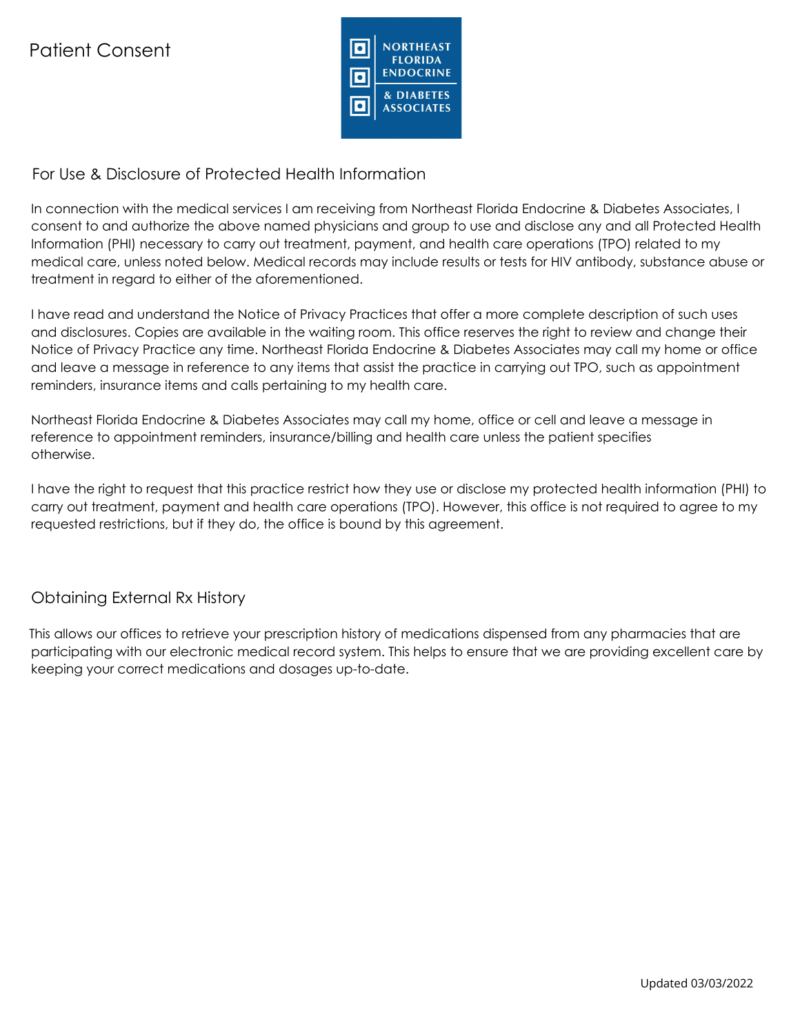

## For Use & Disclosure of Protected Health Information

In connection with the medical services I am receiving from Northeast Florida Endocrine & Diabetes Associates, I consent to and authorize the above named physicians and group to use and disclose any and all Protected Health Information (PHI) necessary to carry out treatment, payment, and health care operations (TPO) related to my medical care, unless noted below. Medical records may include results or tests for HIV antibody, substance abuse or treatment in regard to either of the aforementioned.

I have read and understand the Notice of Privacy Practices that offer a more complete description of such uses and disclosures. Copies are available in the waiting room. This office reserves the right to review and change their Notice of Privacy Practice any time. Northeast Florida Endocrine & Diabetes Associates may call my home or office and leave a message in reference to any items that assist the practice in carrying out TPO, such as appointment reminders, insurance items and calls pertaining to my health care.

Northeast Florida Endocrine & Diabetes Associates may call my home, office or cell and leave a message in reference to appointment reminders, insurance/billing and health care unless the patient specifies otherwise.

I have the right to request that this practice restrict how they use or disclose my protected health information (PHI) to carry out treatment, payment and health care operations (TPO). However, this office is not required to agree to my requested restrictions, but if they do, the office is bound by this agreement.

### Obtaining External Rx History

This allows our offices to retrieve your prescription history of medications dispensed from any pharmacies that are participating with our electronic medical record system. This helps to ensure that we are providing excellent care by keeping your correct medications and dosages up-to-date.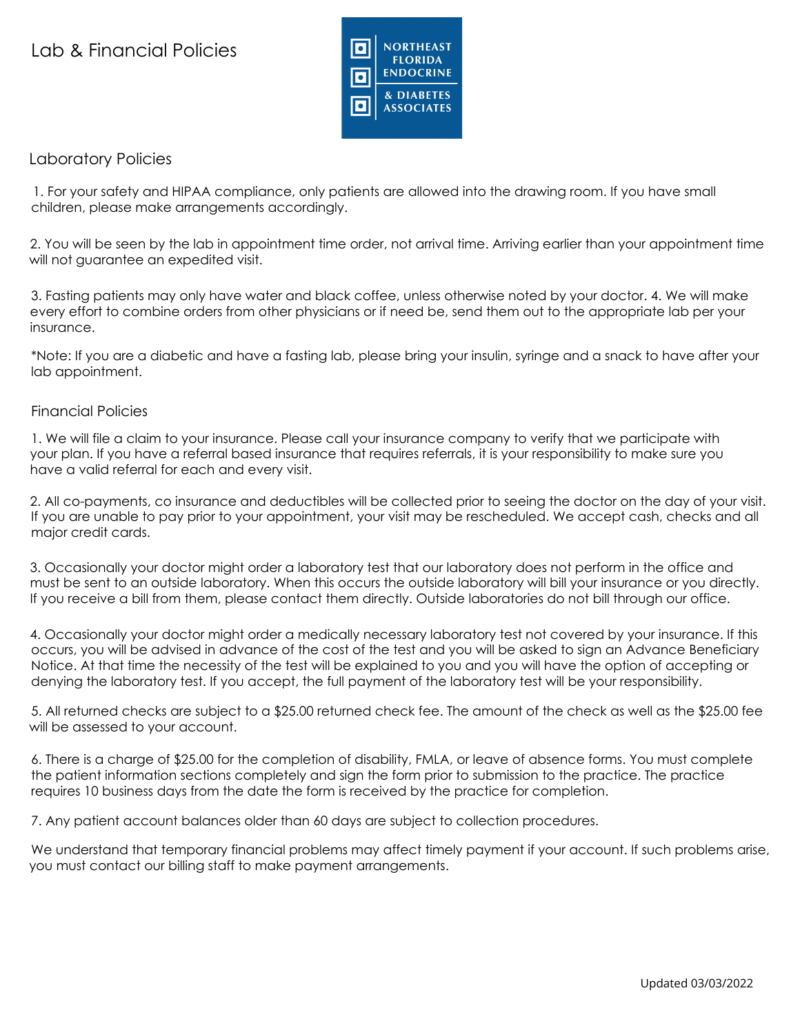## Lab & Financial Policies



### Laboratory Policies

1. For your safety and HIPAA compliance, only patients are allowed into the drawing room. If you have small children, please make arrangements accordingly.

2. You will be seen by the lab in appointment time order, not arrival time. Arriving earlier than your appointment time will not guarantee an expedited visit.

3. Fasting patients may only have water and black coffee, unless otherwise noted by your doctor. 4. We will make every effort to combine orders from other physicians or if need be, send them out to the appropriate lab per your insurance.

\*Note: If you are a diabetic and have a fasting lab, please bring your insulin, syringe and a snack to have after your lab appointment.

#### Financial Policies

1. We will file a claim to your insurance. Please call your insurance company to verify that we participate with your plan. If you have a referral based insurance that requires referrals, it is your responsibility to make sure you have a valid referral for each and every visit.

2. All co-payments, co insurance and deductibles will be collected prior to seeing the doctor on the day of your visit. If you are unable to pay prior to your appointment, your visit may be rescheduled. We accept cash, checks and all major credit cards.

3. Occasionally your doctor might order a laboratory test that our laboratory does not perform in the office and must be sent to an outside laboratory. When this occurs the outside laboratory will bill your insurance or you directly. If you receive a bill from them, please contact them directly. Outside laboratories do not bill through our office.

4. Occasionally your doctor might order a medically necessary laboratory test not covered by your insurance. If this occurs, you will be advised in advance of the cost of the test and you will be asked to sign an Advance Beneficiary Notice. At that time the necessity of the test will be explained to you and you will have the option of accepting or denying the laboratory test. If you accept, the full payment of the laboratory test will be your responsibility.

5. All returned checks are subject to a \$25.00 returned check fee. The amount of the check as well as the \$25.00 fee will be assessed to your account.

6. There is a charge of \$25.00 for the completion of disability, FMLA, or leave of absence forms. You must complete the patient information sections completely and sign the form prior to submission to the practice. The practice requires 10 business days from the date the form is received by the practice for completion.

7. Any patient account balances older than 60 days are subject to collection procedures.

We understand that temporary financial problems may affect timely payment if your account. If such problems arise, you must contact our billing staff to make payment arrangements.